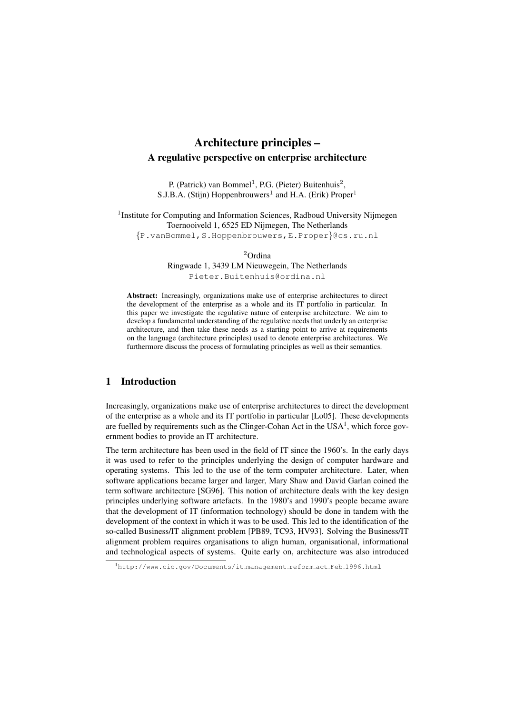# Architecture principles – A regulative perspective on enterprise architecture

P. (Patrick) van Bommel<sup>1</sup>, P.G. (Pieter) Buitenhuis<sup>2</sup>, S.J.B.A. (Stijn) Hoppenbrouwers<sup>1</sup> and H.A. (Erik) Proper<sup>1</sup>

<sup>1</sup>Institute for Computing and Information Sciences, Radboud University Nijmegen Toernooiveld 1, 6525 ED Nijmegen, The Netherlands {P.vanBommel,S.Hoppenbrouwers,E.Proper}@cs.ru.nl

<sup>2</sup>Ordina

Ringwade 1, 3439 LM Nieuwegein, The Netherlands Pieter.Buitenhuis@ordina.nl

Abstract: Increasingly, organizations make use of enterprise architectures to direct the development of the enterprise as a whole and its IT portfolio in particular. In this paper we investigate the regulative nature of enterprise architecture. We aim to develop a fundamental understanding of the regulative needs that underly an enterprise architecture, and then take these needs as a starting point to arrive at requirements on the language (architecture principles) used to denote enterprise architectures. We furthermore discuss the process of formulating principles as well as their semantics.

### 1 Introduction

Increasingly, organizations make use of enterprise architectures to direct the development of the enterprise as a whole and its IT portfolio in particular [Lo05]. These developments are fuelled by requirements such as the Clinger-Cohan Act in the  $USA<sup>1</sup>$ , which force government bodies to provide an IT architecture.

The term architecture has been used in the field of IT since the 1960's. In the early days it was used to refer to the principles underlying the design of computer hardware and operating systems. This led to the use of the term computer architecture. Later, when software applications became larger and larger, Mary Shaw and David Garlan coined the term software architecture [SG96]. This notion of architecture deals with the key design principles underlying software artefacts. In the 1980's and 1990's people became aware that the development of IT (information technology) should be done in tandem with the development of the context in which it was to be used. This led to the identification of the so-called Business/IT alignment problem [PB89, TC93, HV93]. Solving the Business/IT alignment problem requires organisations to align human, organisational, informational and technological aspects of systems. Quite early on, architecture was also introduced

<sup>1</sup>http://www.cio.gov/Documents/it management reform act Feb 1996.html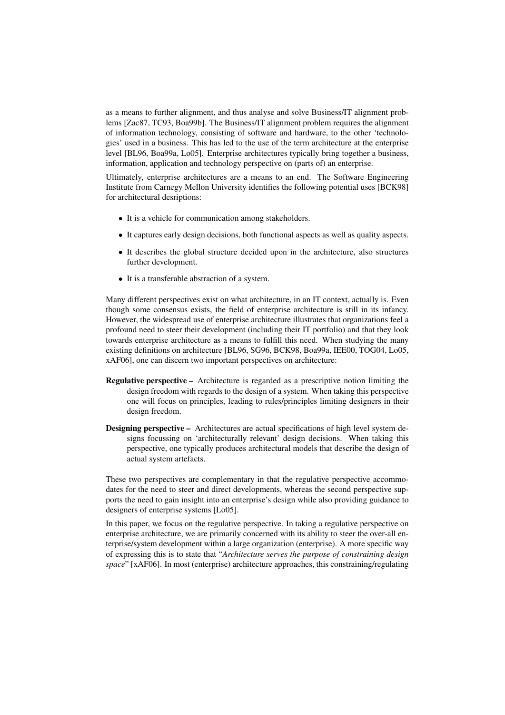as a means to further alignment, and thus analyse and solve Business/IT alignment problems [Zac87, TC93, Boa99b]. The Business/IT alignment problem requires the alignment of information technology, consisting of software and hardware, to the other 'technologies' used in a business. This has led to the use of the term architecture at the enterprise level [BL96, Boa99a, Lo05]. Enterprise architectures typically bring together a business, information, application and technology perspective on (parts of) an enterprise.

Ultimately, enterprise architectures are a means to an end. The Software Engineering Institute from Carnegy Mellon University identifies the following potential uses [BCK98] for architectural desriptions:

- It is a vehicle for communication among stakeholders.
- It captures early design decisions, both functional aspects as well as quality aspects.
- It describes the global structure decided upon in the architecture, also structures further development.
- It is a transferable abstraction of a system.

Many different perspectives exist on what architecture, in an IT context, actually is. Even though some consensus exists, the field of enterprise architecture is still in its infancy. However, the widespread use of enterprise architecture illustrates that organizations feel a profound need to steer their development (including their IT portfolio) and that they look towards enterprise architecture as a means to fulfill this need. When studying the many existing definitions on architecture [BL96, SG96, BCK98, Boa99a, IEE00, TOG04, Lo05, xAF06], one can discern two important perspectives on architecture:

- Regulative perspective Architecture is regarded as a prescriptive notion limiting the design freedom with regards to the design of a system. When taking this perspective one will focus on principles, leading to rules/principles limiting designers in their design freedom.
- Designing perspective Architectures are actual specifications of high level system designs focussing on 'architecturally relevant' design decisions. When taking this perspective, one typically produces architectural models that describe the design of actual system artefacts.

These two perspectives are complementary in that the regulative perspective accommodates for the need to steer and direct developments, whereas the second perspective supports the need to gain insight into an enterprise's design while also providing guidance to designers of enterprise systems [Lo05].

In this paper, we focus on the regulative perspective. In taking a regulative perspective on enterprise architecture, we are primarily concerned with its ability to steer the over-all enterprise/system development within a large organization (enterprise). A more specific way of expressing this is to state that "*Architecture serves the purpose of constraining design space*" [xAF06]. In most (enterprise) architecture approaches, this constraining/regulating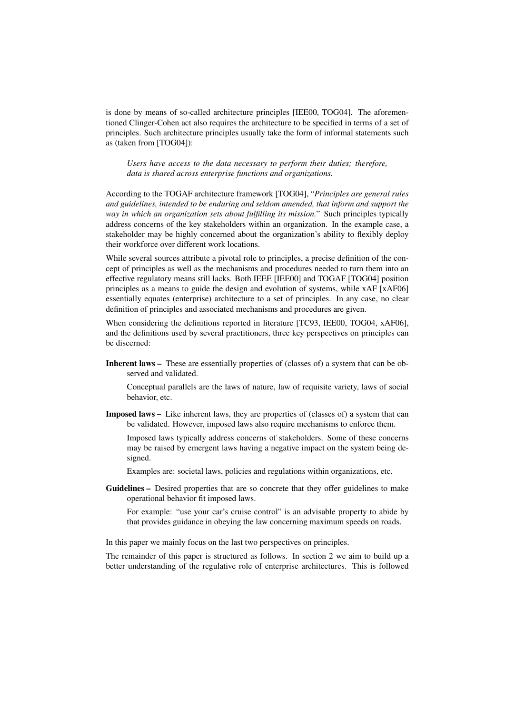is done by means of so-called architecture principles [IEE00, TOG04]. The aforementioned Clinger-Cohen act also requires the architecture to be specified in terms of a set of principles. Such architecture principles usually take the form of informal statements such as (taken from [TOG04]):

*Users have access to the data necessary to perform their duties; therefore, data is shared across enterprise functions and organizations.*

According to the TOGAF architecture framework [TOG04], "*Principles are general rules and guidelines, intended to be enduring and seldom amended, that inform and support the way in which an organization sets about fulfilling its mission.*" Such principles typically address concerns of the key stakeholders within an organization. In the example case, a stakeholder may be highly concerned about the organization's ability to flexibly deploy their workforce over different work locations.

While several sources attribute a pivotal role to principles, a precise definition of the concept of principles as well as the mechanisms and procedures needed to turn them into an effective regulatory means still lacks. Both IEEE [IEE00] and TOGAF [TOG04] position principles as a means to guide the design and evolution of systems, while xAF [xAF06] essentially equates (enterprise) architecture to a set of principles. In any case, no clear definition of principles and associated mechanisms and procedures are given.

When considering the definitions reported in literature [TC93, IEE00, TOG04, xAF06], and the definitions used by several practitioners, three key perspectives on principles can be discerned:

Inherent laws – These are essentially properties of (classes of) a system that can be observed and validated.

Conceptual parallels are the laws of nature, law of requisite variety, laws of social behavior, etc.

Imposed laws – Like inherent laws, they are properties of (classes of) a system that can be validated. However, imposed laws also require mechanisms to enforce them.

Imposed laws typically address concerns of stakeholders. Some of these concerns may be raised by emergent laws having a negative impact on the system being designed.

Examples are: societal laws, policies and regulations within organizations, etc.

Guidelines – Desired properties that are so concrete that they offer guidelines to make operational behavior fit imposed laws.

For example: "use your car's cruise control" is an advisable property to abide by that provides guidance in obeying the law concerning maximum speeds on roads.

In this paper we mainly focus on the last two perspectives on principles.

The remainder of this paper is structured as follows. In section 2 we aim to build up a better understanding of the regulative role of enterprise architectures. This is followed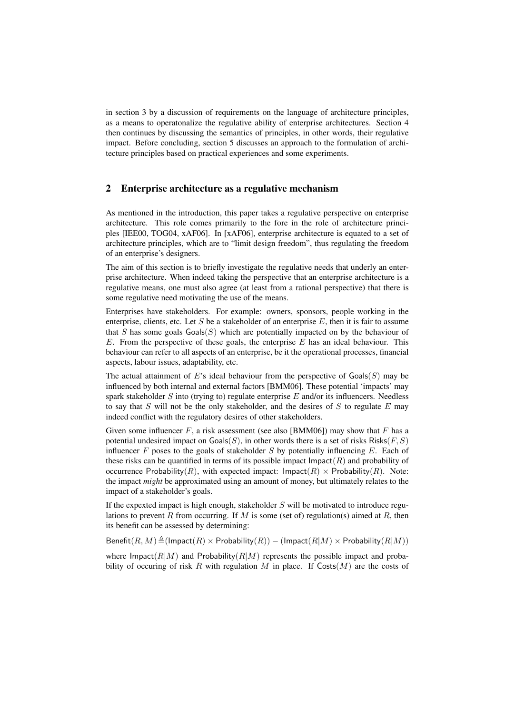in section 3 by a discussion of requirements on the language of architecture principles, as a means to operatonalize the regulative ability of enterprise architectures. Section 4 then continues by discussing the semantics of principles, in other words, their regulative impact. Before concluding, section 5 discusses an approach to the formulation of architecture principles based on practical experiences and some experiments.

#### 2 Enterprise architecture as a regulative mechanism

As mentioned in the introduction, this paper takes a regulative perspective on enterprise architecture. This role comes primarily to the fore in the role of architecture principles [IEE00, TOG04, xAF06]. In [xAF06], enterprise architecture is equated to a set of architecture principles, which are to "limit design freedom", thus regulating the freedom of an enterprise's designers.

The aim of this section is to briefly investigate the regulative needs that underly an enterprise architecture. When indeed taking the perspective that an enterprise architecture is a regulative means, one must also agree (at least from a rational perspective) that there is some regulative need motivating the use of the means.

Enterprises have stakeholders. For example: owners, sponsors, people working in the enterprise, clients, etc. Let  $S$  be a stakeholder of an enterprise  $E$ , then it is fair to assume that  $S$  has some goals  $\text{Goals}(S)$  which are potentially impacted on by the behaviour of  $E$ . From the perspective of these goals, the enterprise  $E$  has an ideal behaviour. This behaviour can refer to all aspects of an enterprise, be it the operational processes, financial aspects, labour issues, adaptability, etc.

The actual attainment of E's ideal behaviour from the perspective of  $\text{Goals}(S)$  may be influenced by both internal and external factors [BMM06]. These potential 'impacts' may spark stakeholder  $S$  into (trying to) regulate enterprise  $E$  and/or its influencers. Needless to say that S will not be the only stakeholder, and the desires of S to regulate  $E$  may indeed conflict with the regulatory desires of other stakeholders.

Given some influencer  $F$ , a risk assessment (see also [BMM06]) may show that  $F$  has a potential undesired impact on  $\text{Goals}(S)$ , in other words there is a set of risks  $\text{Risks}(F, S)$ influencer  $F$  poses to the goals of stakeholder  $S$  by potentially influencing  $E$ . Each of these risks can be quantified in terms of its possible impact  $\text{Im} \text{pat}(R)$  and probability of occurrence Probability(R), with expected impact:  $\text{Impact}(R) \times \text{Probability}(R)$ . Note: the impact *might* be approximated using an amount of money, but ultimately relates to the impact of a stakeholder's goals.

If the expexted impact is high enough, stakeholder  $S$  will be motivated to introduce regulations to prevent R from occurring. If M is some (set of) regulation(s) aimed at R, then its benefit can be assessed by determining:

Benefit $(R, M) \triangleq (Impat(R) \times Probability(R)) - (Impat(R|M) \times Probability(R|M))$ 

where Impact $(R|M)$  and Probability $(R|M)$  represents the possible impact and probability of occuring of risk R with regulation M in place. If  $Cost(M)$  are the costs of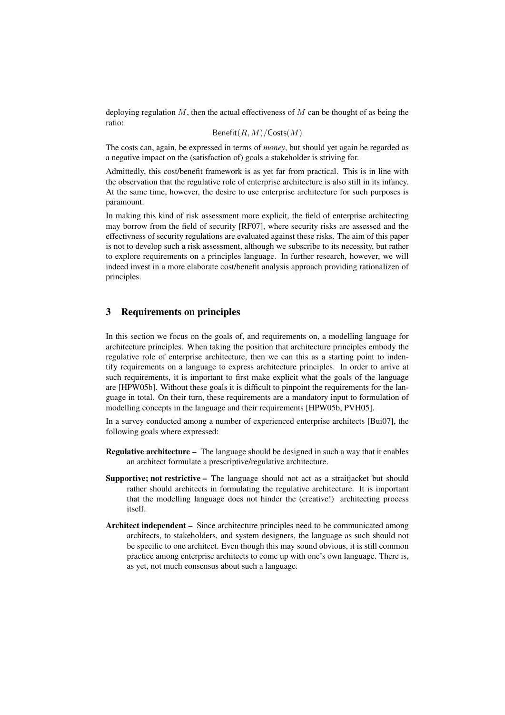deploying regulation  $M$ , then the actual effectiveness of  $M$  can be thought of as being the ratio:

$$
\mathsf{Benefit}(R,M)/\mathsf{Costs}(M)
$$

The costs can, again, be expressed in terms of *money*, but should yet again be regarded as a negative impact on the (satisfaction of) goals a stakeholder is striving for.

Admittedly, this cost/benefit framework is as yet far from practical. This is in line with the observation that the regulative role of enterprise architecture is also still in its infancy. At the same time, however, the desire to use enterprise architecture for such purposes is paramount.

In making this kind of risk assessment more explicit, the field of enterprise architecting may borrow from the field of security [RF07], where security risks are assessed and the effectivness of security regulations are evaluated against these risks. The aim of this paper is not to develop such a risk assessment, although we subscribe to its necessity, but rather to explore requirements on a principles language. In further research, however, we will indeed invest in a more elaborate cost/benefit analysis approach providing rationalizen of principles.

# 3 Requirements on principles

In this section we focus on the goals of, and requirements on, a modelling language for architecture principles. When taking the position that architecture principles embody the regulative role of enterprise architecture, then we can this as a starting point to indentify requirements on a language to express architecture principles. In order to arrive at such requirements, it is important to first make explicit what the goals of the language are [HPW05b]. Without these goals it is difficult to pinpoint the requirements for the language in total. On their turn, these requirements are a mandatory input to formulation of modelling concepts in the language and their requirements [HPW05b, PVH05].

In a survey conducted among a number of experienced enterprise architects [Bui07], the following goals where expressed:

- Regulative architecture The language should be designed in such a way that it enables an architect formulate a prescriptive/regulative architecture.
- Supportive; not restrictive The language should not act as a straitjacket but should rather should architects in formulating the regulative architecture. It is important that the modelling language does not hinder the (creative!) architecting process itself.
- Architect independent Since architecture principles need to be communicated among architects, to stakeholders, and system designers, the language as such should not be specific to one architect. Even though this may sound obvious, it is still common practice among enterprise architects to come up with one's own language. There is, as yet, not much consensus about such a language.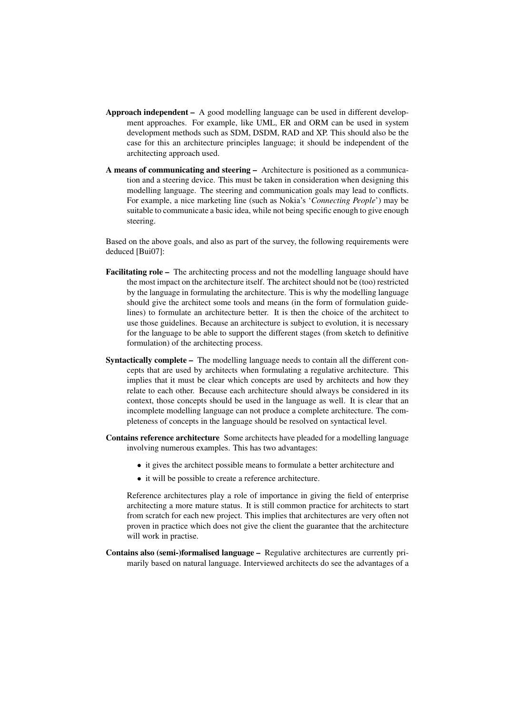- Approach independent A good modelling language can be used in different development approaches. For example, like UML, ER and ORM can be used in system development methods such as SDM, DSDM, RAD and XP. This should also be the case for this an architecture principles language; it should be independent of the architecting approach used.
- A means of communicating and steering Architecture is positioned as a communication and a steering device. This must be taken in consideration when designing this modelling language. The steering and communication goals may lead to conflicts. For example, a nice marketing line (such as Nokia's '*Connecting People*') may be suitable to communicate a basic idea, while not being specific enough to give enough steering.

Based on the above goals, and also as part of the survey, the following requirements were deduced [Bui07]:

- Facilitating role The architecting process and not the modelling language should have the most impact on the architecture itself. The architect should not be (too) restricted by the language in formulating the architecture. This is why the modelling language should give the architect some tools and means (in the form of formulation guidelines) to formulate an architecture better. It is then the choice of the architect to use those guidelines. Because an architecture is subject to evolution, it is necessary for the language to be able to support the different stages (from sketch to definitive formulation) of the architecting process.
- Syntactically complete The modelling language needs to contain all the different concepts that are used by architects when formulating a regulative architecture. This implies that it must be clear which concepts are used by architects and how they relate to each other. Because each architecture should always be considered in its context, those concepts should be used in the language as well. It is clear that an incomplete modelling language can not produce a complete architecture. The completeness of concepts in the language should be resolved on syntactical level.
- Contains reference architecture Some architects have pleaded for a modelling language involving numerous examples. This has two advantages:
	- it gives the architect possible means to formulate a better architecture and
	- it will be possible to create a reference architecture.

Reference architectures play a role of importance in giving the field of enterprise architecting a more mature status. It is still common practice for architects to start from scratch for each new project. This implies that architectures are very often not proven in practice which does not give the client the guarantee that the architecture will work in practise.

Contains also (semi-)formalised language – Regulative architectures are currently primarily based on natural language. Interviewed architects do see the advantages of a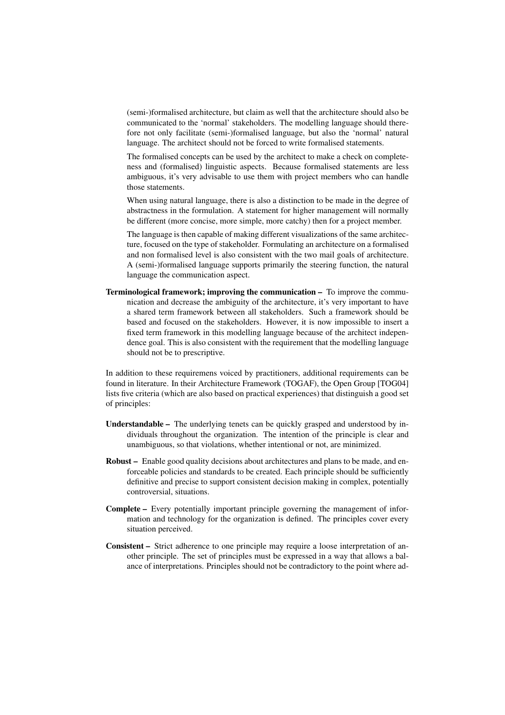(semi-)formalised architecture, but claim as well that the architecture should also be communicated to the 'normal' stakeholders. The modelling language should therefore not only facilitate (semi-)formalised language, but also the 'normal' natural language. The architect should not be forced to write formalised statements.

The formalised concepts can be used by the architect to make a check on completeness and (formalised) linguistic aspects. Because formalised statements are less ambiguous, it's very advisable to use them with project members who can handle those statements.

When using natural language, there is also a distinction to be made in the degree of abstractness in the formulation. A statement for higher management will normally be different (more concise, more simple, more catchy) then for a project member.

The language is then capable of making different visualizations of the same architecture, focused on the type of stakeholder. Formulating an architecture on a formalised and non formalised level is also consistent with the two mail goals of architecture. A (semi-)formalised language supports primarily the steering function, the natural language the communication aspect.

Terminological framework; improving the communication – To improve the communication and decrease the ambiguity of the architecture, it's very important to have a shared term framework between all stakeholders. Such a framework should be based and focused on the stakeholders. However, it is now impossible to insert a fixed term framework in this modelling language because of the architect independence goal. This is also consistent with the requirement that the modelling language should not be to prescriptive.

In addition to these requiremens voiced by practitioners, additional requirements can be found in literature. In their Architecture Framework (TOGAF), the Open Group [TOG04] lists five criteria (which are also based on practical experiences) that distinguish a good set of principles:

- Understandable The underlying tenets can be quickly grasped and understood by individuals throughout the organization. The intention of the principle is clear and unambiguous, so that violations, whether intentional or not, are minimized.
- Robust Enable good quality decisions about architectures and plans to be made, and enforceable policies and standards to be created. Each principle should be sufficiently definitive and precise to support consistent decision making in complex, potentially controversial, situations.
- Complete Every potentially important principle governing the management of information and technology for the organization is defined. The principles cover every situation perceived.
- Consistent Strict adherence to one principle may require a loose interpretation of another principle. The set of principles must be expressed in a way that allows a balance of interpretations. Principles should not be contradictory to the point where ad-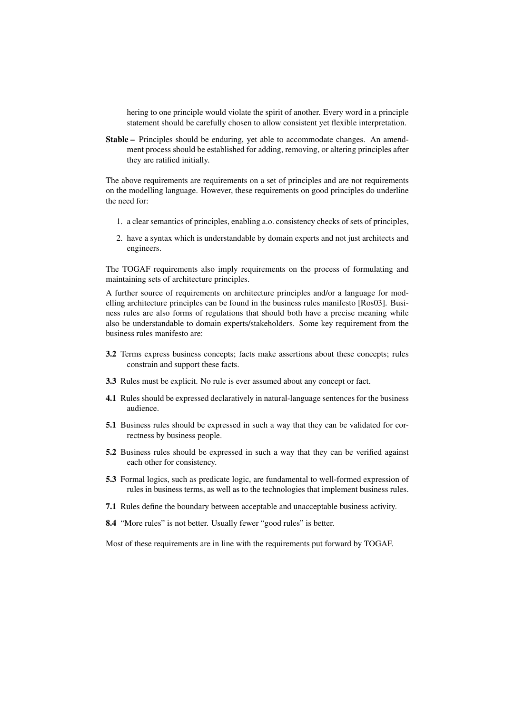hering to one principle would violate the spirit of another. Every word in a principle statement should be carefully chosen to allow consistent yet flexible interpretation.

Stable – Principles should be enduring, yet able to accommodate changes. An amendment process should be established for adding, removing, or altering principles after they are ratified initially.

The above requirements are requirements on a set of principles and are not requirements on the modelling language. However, these requirements on good principles do underline the need for:

- 1. a clear semantics of principles, enabling a.o. consistency checks of sets of principles,
- 2. have a syntax which is understandable by domain experts and not just architects and engineers.

The TOGAF requirements also imply requirements on the process of formulating and maintaining sets of architecture principles.

A further source of requirements on architecture principles and/or a language for modelling architecture principles can be found in the business rules manifesto [Ros03]. Business rules are also forms of regulations that should both have a precise meaning while also be understandable to domain experts/stakeholders. Some key requirement from the business rules manifesto are:

- 3.2 Terms express business concepts; facts make assertions about these concepts; rules constrain and support these facts.
- 3.3 Rules must be explicit. No rule is ever assumed about any concept or fact.
- 4.1 Rules should be expressed declaratively in natural-language sentences for the business audience.
- 5.1 Business rules should be expressed in such a way that they can be validated for correctness by business people.
- 5.2 Business rules should be expressed in such a way that they can be verified against each other for consistency.
- 5.3 Formal logics, such as predicate logic, are fundamental to well-formed expression of rules in business terms, as well as to the technologies that implement business rules.
- 7.1 Rules define the boundary between acceptable and unacceptable business activity.
- 8.4 "More rules" is not better. Usually fewer "good rules" is better.

Most of these requirements are in line with the requirements put forward by TOGAF.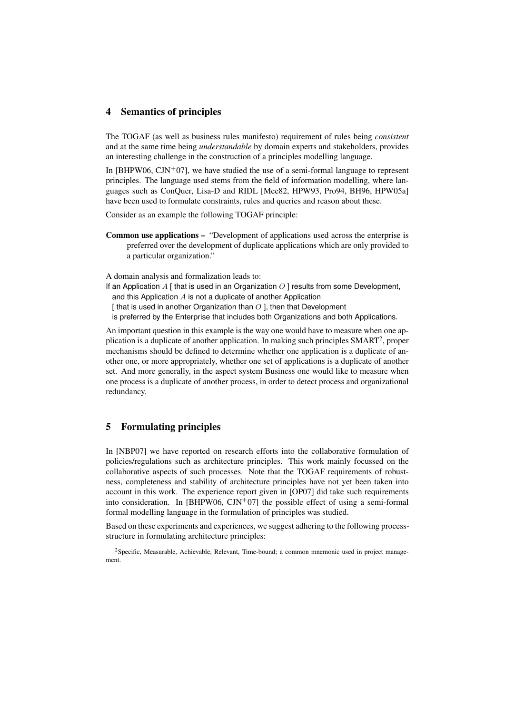#### 4 Semantics of principles

The TOGAF (as well as business rules manifesto) requirement of rules being *consistent* and at the same time being *understandable* by domain experts and stakeholders, provides an interesting challenge in the construction of a principles modelling language.

In [BHPW06, CJN<sup>+</sup>07], we have studied the use of a semi-formal language to represent principles. The language used stems from the field of information modelling, where languages such as ConQuer, Lisa-D and RIDL [Mee82, HPW93, Pro94, BH96, HPW05a] have been used to formulate constraints, rules and queries and reason about these.

Consider as an example the following TOGAF principle:

Common use applications – "Development of applications used across the enterprise is preferred over the development of duplicate applications which are only provided to a particular organization."

A domain analysis and formalization leads to:

If an Application A [ that is used in an Organization  $O \mid$  results from some Development, and this Application A is not a duplicate of another Application

[ that is used in another Organization than  $O$  ], then that Development

is preferred by the Enterprise that includes both Organizations and both Applications.

An important question in this example is the way one would have to measure when one application is a duplicate of another application. In making such principles SMART<sup>2</sup>, proper mechanisms should be defined to determine whether one application is a duplicate of another one, or more appropriately, whether one set of applications is a duplicate of another set. And more generally, in the aspect system Business one would like to measure when one process is a duplicate of another process, in order to detect process and organizational redundancy.

## 5 Formulating principles

In [NBP07] we have reported on research efforts into the collaborative formulation of policies/regulations such as architecture principles. This work mainly focussed on the collaborative aspects of such processes. Note that the TOGAF requirements of robustness, completeness and stability of architecture principles have not yet been taken into account in this work. The experience report given in [OP07] did take such requirements into consideration. In [BHPW06,  $\text{CIN}^{+}07$ ] the possible effect of using a semi-formal formal modelling language in the formulation of principles was studied.

Based on these experiments and experiences, we suggest adhering to the following processstructure in formulating architecture principles:

<sup>2</sup>Specific, Measurable, Achievable, Relevant, Time-bound; a common mnemonic used in project management.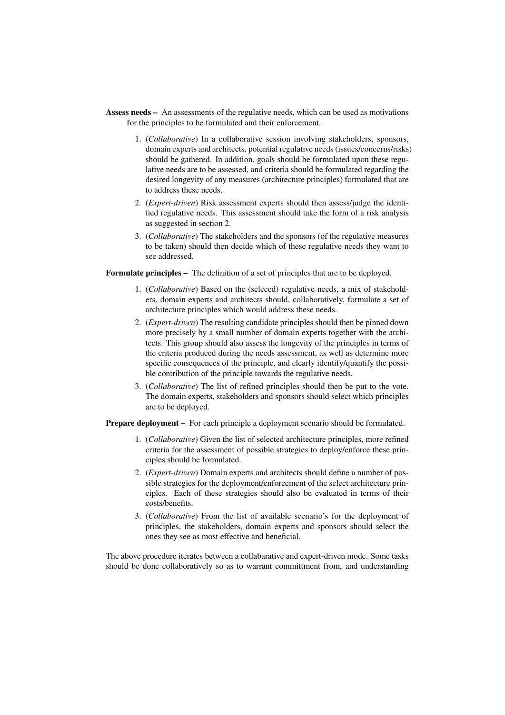- Assess needs An assessments of the regulative needs, which can be used as motivations for the principles to be formulated and their enforcement.
	- 1. (*Collaborative*) In a collaborative session involving stakeholders, sponsors, domain experts and architects, potential regulative needs (issues/concerns/risks) should be gathered. In addition, goals should be formulated upon these regulative needs are to be assessed, and criteria should be formulated regarding the desired longevity of any measures (architecture principles) formulated that are to address these needs.
	- 2. (*Expert-driven*) Risk assessment experts should then assess/judge the identified regulative needs. This assessment should take the form of a risk analysis as suggested in section 2.
	- 3. (*Collaborative*) The stakeholders and the sponsors (of the regulative measures to be taken) should then decide which of these regulative needs they want to see addressed.

Formulate principles – The definition of a set of principles that are to be deployed.

- 1. (*Collaborative*) Based on the (seleced) regulative needs, a mix of stakeholders, domain experts and architects should, collaboratively, formulate a set of architecture principles which would address these needs.
- 2. (*Expert-driven*) The resulting candidate principles should then be pinned down more precisely by a small number of domain experts together with the architects. This group should also assess the longevity of the principles in terms of the criteria produced during the needs assessment, as well as determine more specific consequences of the principle, and clearly identify/quantify the possible contribution of the principle towards the regulative needs.
- 3. (*Collaborative*) The list of refined principles should then be put to the vote. The domain experts, stakeholders and sponsors should select which principles are to be deployed.

Prepare deployment – For each principle a deployment scenario should be formulated.

- 1. (*Collaborative*) Given the list of selected architecture principles, more refined criteria for the assessment of possible strategies to deploy/enforce these principles should be formulated.
- 2. (*Expert-driven*) Domain experts and architects should define a number of possible strategies for the deployment/enforcement of the select architecture principles. Each of these strategies should also be evaluated in terms of their costs/benefits.
- 3. (*Collaborative*) From the list of available scenario's for the deployment of principles, the stakeholders, domain experts and sponsors should select the ones they see as most effective and beneficial.

The above procedure iterates between a collabarative and expert-driven mode. Some tasks should be done collaboratively so as to warrant committment from, and understanding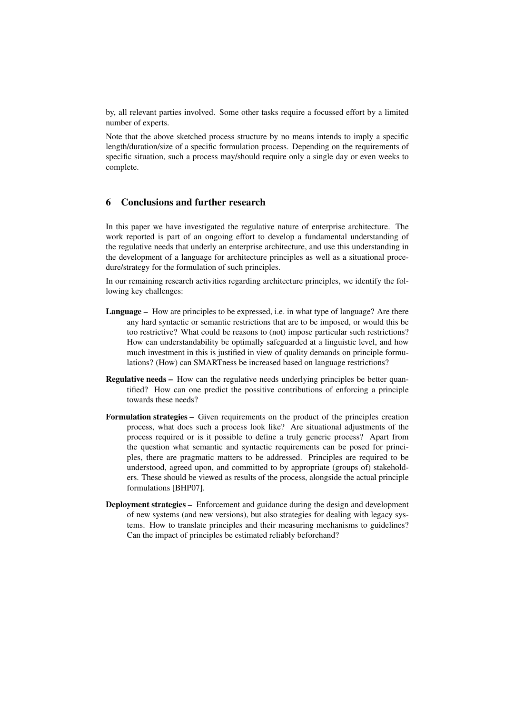by, all relevant parties involved. Some other tasks require a focussed effort by a limited number of experts.

Note that the above sketched process structure by no means intends to imply a specific length/duration/size of a specific formulation process. Depending on the requirements of specific situation, such a process may/should require only a single day or even weeks to complete.

## 6 Conclusions and further research

In this paper we have investigated the regulative nature of enterprise architecture. The work reported is part of an ongoing effort to develop a fundamental understanding of the regulative needs that underly an enterprise architecture, and use this understanding in the development of a language for architecture principles as well as a situational procedure/strategy for the formulation of such principles.

In our remaining research activities regarding architecture principles, we identify the following key challenges:

- Language How are principles to be expressed, i.e. in what type of language? Are there any hard syntactic or semantic restrictions that are to be imposed, or would this be too restrictive? What could be reasons to (not) impose particular such restrictions? How can understandability be optimally safeguarded at a linguistic level, and how much investment in this is justified in view of quality demands on principle formulations? (How) can SMARTness be increased based on language restrictions?
- Regulative needs How can the regulative needs underlying principles be better quantified? How can one predict the possitive contributions of enforcing a principle towards these needs?
- Formulation strategies Given requirements on the product of the principles creation process, what does such a process look like? Are situational adjustments of the process required or is it possible to define a truly generic process? Apart from the question what semantic and syntactic requirements can be posed for principles, there are pragmatic matters to be addressed. Principles are required to be understood, agreed upon, and committed to by appropriate (groups of) stakeholders. These should be viewed as results of the process, alongside the actual principle formulations [BHP07].
- Deployment strategies Enforcement and guidance during the design and development of new systems (and new versions), but also strategies for dealing with legacy systems. How to translate principles and their measuring mechanisms to guidelines? Can the impact of principles be estimated reliably beforehand?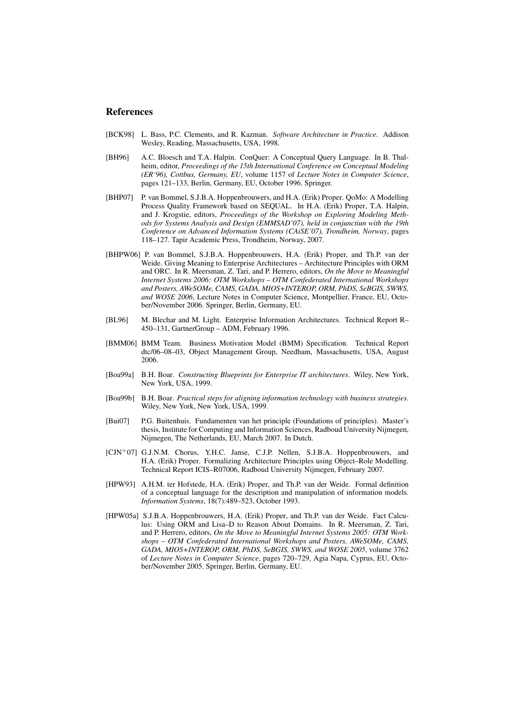#### **References**

- [BCK98] L. Bass, P.C. Clements, and R. Kazman. *Software Architecture in Practice*. Addison Wesley, Reading, Massachusetts, USA, 1998.
- [BH96] A.C. Bloesch and T.A. Halpin. ConQuer: A Conceptual Query Language. In B. Thalheim, editor, *Proceedings of the 15th International Conference on Conceptual Modeling (ER'96), Cottbus, Germany, EU*, volume 1157 of *Lecture Notes in Computer Science*, pages 121–133, Berlin, Germany, EU, October 1996. Springer.
- [BHP07] P. van Bommel, S.J.B.A. Hoppenbrouwers, and H.A. (Erik) Proper. QoMo: A Modelling Process Quality Framework based on SEQUAL. In H.A. (Erik) Proper, T.A. Halpin, and J. Krogstie, editors, *Proceedings of the Workshop on Exploring Modeling Methods for Systems Analysis and Design (EMMSAD'07), held in conjunctiun with the 19th Conference on Advanced Information Systems (CAiSE'07), Trondheim, Norway*, pages 118–127. Tapir Academic Press, Trondheim, Norway, 2007.
- [BHPW06] P. van Bommel, S.J.B.A. Hoppenbrouwers, H.A. (Erik) Proper, and Th.P. van der Weide. Giving Meaning to Enterprise Architectures – Architecture Principles with ORM and ORC. In R. Meersman, Z. Tari, and P. Herrero, editors, *On the Move to Meaningful Internet Systems 2006: OTM Workshops – OTM Confederated International Workshops and Posters, AWeSOMe, CAMS, GADA, MIOS+INTEROP, ORM, PhDS, SeBGIS, SWWS, and WOSE 2006*, Lecture Notes in Computer Science, Montpellier, France, EU, October/November 2006. Springer, Berlin, Germany, EU.
- [BL96] M. Blechar and M. Light. Enterprise Information Architectures. Technical Report R– 450–131, GartnerGroup – ADM, February 1996.
- [BMM06] BMM Team. Business Motivation Model (BMM) Specification. Technical Report dtc/06–08–03, Object Management Group, Needham, Massachusetts, USA, August 2006.
- [Boa99a] B.H. Boar. *Constructing Blueprints for Enterprise IT architectures*. Wiley, New York, New York, USA, 1999.
- [Boa99b] B.H. Boar. *Practical steps for aligning information technology with business strategies*. Wiley, New York, New York, USA, 1999.
- [Bui07] P.G. Buitenhuis. Fundamenten van het principle (Foundations of principles). Master's thesis, Institute for Computing and Information Sciences, Radboud University Nijmegen, Nijmegen, The Netherlands, EU, March 2007. In Dutch.
- [CJN<sup>+</sup>07] G.J.N.M. Chorus, Y.H.C. Janse, C.J.P. Nellen, S.J.B.A. Hoppenbrouwers, and H.A. (Erik) Proper. Formalizing Architecture Principles using Object–Role Modelling. Technical Report ICIS–R07006, Radboud University Nijmegen, February 2007.
- [HPW93] A.H.M. ter Hofstede, H.A. (Erik) Proper, and Th.P. van der Weide. Formal definition of a conceptual language for the description and manipulation of information models. *Information Systems*, 18(7):489–523, October 1993.
- [HPW05a] S.J.B.A. Hoppenbrouwers, H.A. (Erik) Proper, and Th.P. van der Weide. Fact Calculus: Using ORM and Lisa–D to Reason About Domains. In R. Meersman, Z. Tari, and P. Herrero, editors, *On the Move to Meaningful Internet Systems 2005: OTM Workshops – OTM Confederated International Workshops and Posters, AWeSOMe, CAMS, GADA, MIOS+INTEROP, ORM, PhDS, SeBGIS, SWWS, and WOSE 2005*, volume 3762 of *Lecture Notes in Computer Science*, pages 720–729, Agia Napa, Cyprus, EU, October/November 2005. Springer, Berlin, Germany, EU.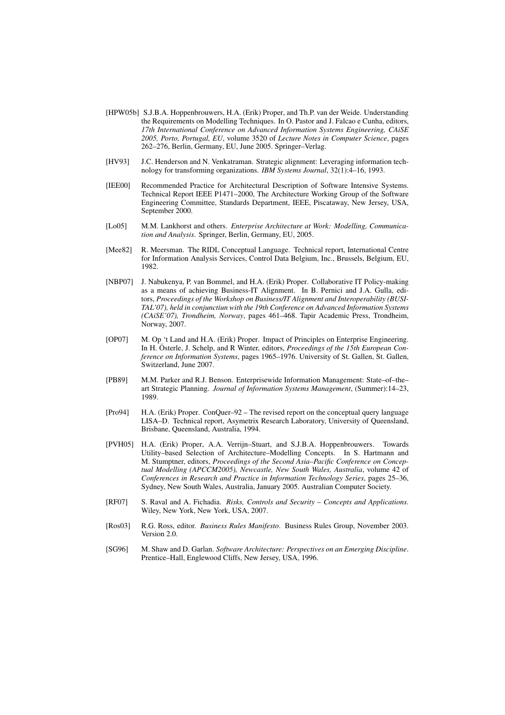- [HPW05b] S.J.B.A. Hoppenbrouwers, H.A. (Erik) Proper, and Th.P. van der Weide. Understanding the Requirements on Modelling Techniques. In O. Pastor and J. Falcao e Cunha, editors, *17th International Conference on Advanced Information Systems Engineering, CAiSE 2005, Porto, Portugal, EU*, volume 3520 of *Lecture Notes in Computer Science*, pages 262–276, Berlin, Germany, EU, June 2005. Springer–Verlag.
- [HV93] J.C. Henderson and N. Venkatraman. Strategic alignment: Leveraging information technology for transforming organizations. *IBM Systems Journal*, 32(1):4–16, 1993.
- [IEE00] Recommended Practice for Architectural Description of Software Intensive Systems. Technical Report IEEE P1471–2000, The Architecture Working Group of the Software Engineering Committee, Standards Department, IEEE, Piscataway, New Jersey, USA, September 2000.
- [Lo05] M.M. Lankhorst and others. *Enterprise Architecture at Work: Modelling, Communication and Analysis*. Springer, Berlin, Germany, EU, 2005.
- [Mee82] R. Meersman. The RIDL Conceptual Language. Technical report, International Centre for Information Analysis Services, Control Data Belgium, Inc., Brussels, Belgium, EU, 1982.
- [NBP07] J. Nabukenya, P. van Bommel, and H.A. (Erik) Proper. Collaborative IT Policy-making as a means of achieving Business-IT Alignment. In B. Pernici and J.A. Gulla, editors, *Proceedings of the Workshop on Business/IT Alignment and Interoperability (BUSI-TAL'07), held in conjunctiun with the 19th Conference on Advanced Information Systems (CAiSE'07), Trondheim, Norway*, pages 461–468. Tapir Academic Press, Trondheim, Norway, 2007.
- [OP07] M. Op 't Land and H.A. (Erik) Proper. Impact of Principles on Enterprise Engineering. In H. Österle, J. Schelp, and R Winter, editors, *Proceedings of the 15th European Conference on Information Systems*, pages 1965–1976. University of St. Gallen, St. Gallen, Switzerland, June 2007.
- [PB89] M.M. Parker and R.J. Benson. Enterprisewide Information Management: State–of–the– art Strategic Planning. *Journal of Information Systems Management*, (Summer):14–23, 1989.
- [Pro94] H.A. (Erik) Proper. ConQuer–92 The revised report on the conceptual query language LISA–D. Technical report, Asymetrix Research Laboratory, University of Queensland, Brisbane, Queensland, Australia, 1994.
- [PVH05] H.A. (Erik) Proper, A.A. Verrijn–Stuart, and S.J.B.A. Hoppenbrouwers. Towards Utility–based Selection of Architecture–Modelling Concepts. In S. Hartmann and M. Stumptner, editors, *Proceedings of the Second Asia–Pacific Conference on Conceptual Modelling (APCCM2005), Newcastle, New South Wales, Australia*, volume 42 of *Conferences in Research and Practice in Information Technology Series*, pages 25–36, Sydney, New South Wales, Australia, January 2005. Australian Computer Society.
- [RF07] S. Raval and A. Fichadia. *Risks, Controls and Security Concepts and Applications*. Wiley, New York, New York, USA, 2007.
- [Ros03] R.G. Ross, editor. *Business Rules Manifesto*. Business Rules Group, November 2003. Version 2.0.
- [SG96] M. Shaw and D. Garlan. *Software Architecture: Perspectives on an Emerging Discipline*. Prentice–Hall, Englewood Cliffs, New Jersey, USA, 1996.